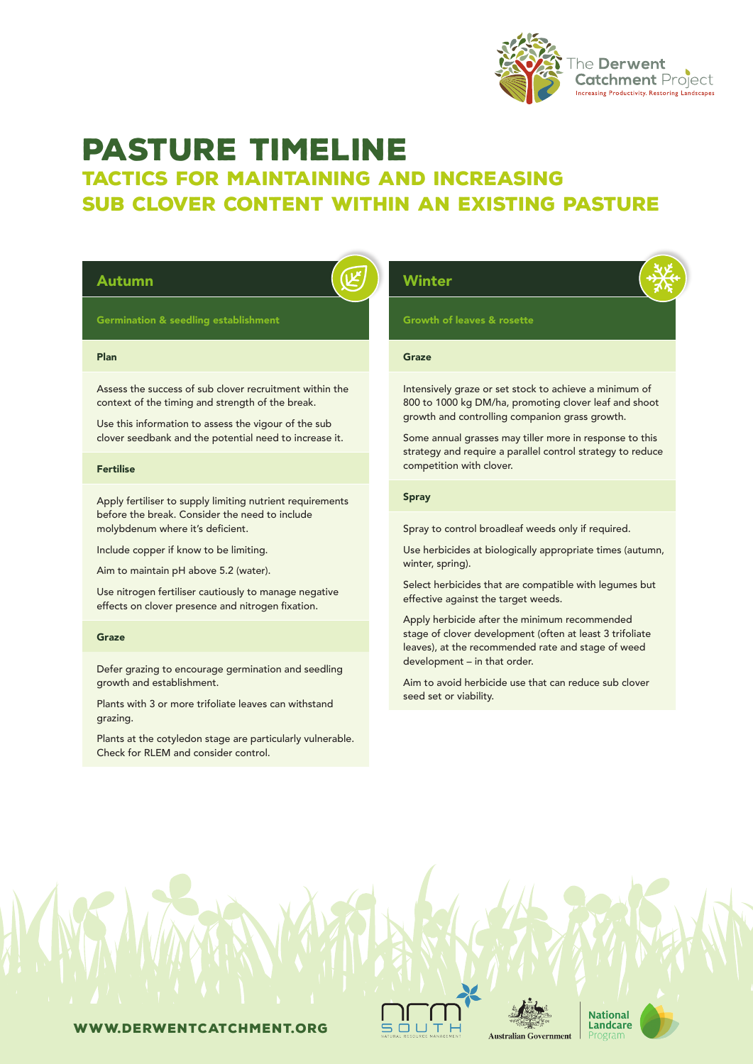

# PASTURE TIMELINE

# tactics for maintaining and increasing sub clover content within an existing pasture

| <b>Germination &amp; seedling establishment</b><br>Plan<br>Assess the success of sub clover recruitment within the<br>context of the timing and strength of the break.                                                                                                              | <b>Growth of leaves &amp; rosette</b><br>Graze<br>Intensively graze or set stock to achieve a minimum of                                                                                                                                                                                                                                                                                                |
|-------------------------------------------------------------------------------------------------------------------------------------------------------------------------------------------------------------------------------------------------------------------------------------|---------------------------------------------------------------------------------------------------------------------------------------------------------------------------------------------------------------------------------------------------------------------------------------------------------------------------------------------------------------------------------------------------------|
|                                                                                                                                                                                                                                                                                     |                                                                                                                                                                                                                                                                                                                                                                                                         |
|                                                                                                                                                                                                                                                                                     |                                                                                                                                                                                                                                                                                                                                                                                                         |
| Use this information to assess the vigour of the sub<br>clover seedbank and the potential need to increase it.                                                                                                                                                                      | 800 to 1000 kg DM/ha, promoting clover leaf and shoot<br>growth and controlling companion grass growth.<br>Some annual grasses may tiller more in response to this<br>strategy and require a parallel control strategy to reduce                                                                                                                                                                        |
| <b>Fertilise</b>                                                                                                                                                                                                                                                                    | competition with clover.<br><b>Spray</b>                                                                                                                                                                                                                                                                                                                                                                |
| before the break. Consider the need to include<br>molybdenum where it's deficient.<br>Include copper if know to be limiting.<br>Aim to maintain pH above 5.2 (water).<br>Use nitrogen fertiliser cautiously to manage negative<br>effects on clover presence and nitrogen fixation. | Spray to control broadleaf weeds only if required.<br>Use herbicides at biologically appropriate times (autumn,<br>winter, spring).<br>Select herbicides that are compatible with legumes but<br>effective against the target weeds.<br>Apply herbicide after the minimum recommended<br>stage of clover development (often at least 3 trifoliate<br>leaves), at the recommended rate and stage of weed |
| Graze                                                                                                                                                                                                                                                                               |                                                                                                                                                                                                                                                                                                                                                                                                         |
| Defer grazing to encourage germination and seedling<br>growth and establishment.<br>Plants with 3 or more trifoliate leaves can withstand<br>grazing.<br>Plants at the cotyledon stage are particularly vulnerable.<br>Check for RLEM and consider control.                         | development - in that order.<br>Aim to avoid herbicide use that can reduce sub clover<br>seed set or viability.                                                                                                                                                                                                                                                                                         |

www.derwentcatchment.org

 $\mathbf l$  $50U$ л.



**National** Landcare

Program